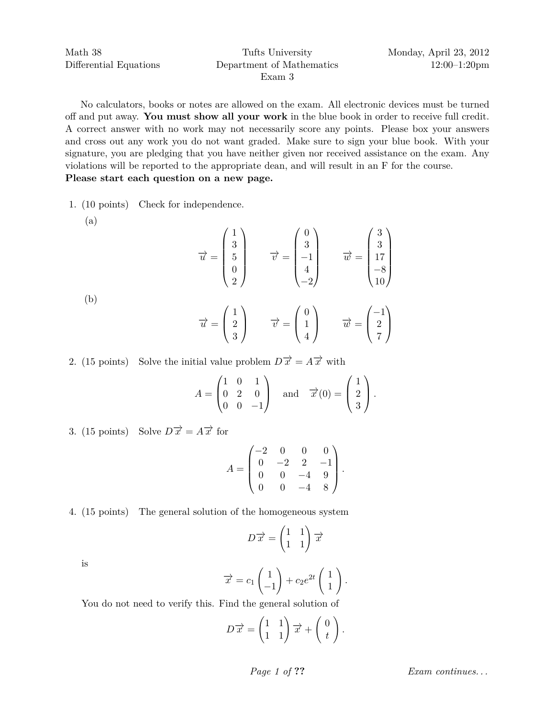Exam 3

No calculators, books or notes are allowed on the exam. All electronic devices must be turned off and put away. **You must show all your work** in the blue book in order to receive full credit. A correct answer with no work may not necessarily score any points. Please box your answers and cross out any work you do not want graded. Make sure to sign your blue book. With your signature, you are pledging that you have neither given nor received assistance on the exam. Any violations will be reported to the appropriate dean, and will result in an F for the course. **Please start each question on a new page.**

1. (10 points) Check for independence.

(a)

$$
\overrightarrow{u} = \begin{pmatrix} 1 \\ 3 \\ 5 \\ 0 \\ 2 \end{pmatrix} \qquad \overrightarrow{v} = \begin{pmatrix} 0 \\ 3 \\ -1 \\ 4 \\ -2 \end{pmatrix} \qquad \overrightarrow{w} = \begin{pmatrix} 3 \\ 3 \\ 17 \\ -8 \\ 10 \end{pmatrix}
$$

(b)

$$
\overrightarrow{u} = \begin{pmatrix} 1 \\ 2 \\ 3 \end{pmatrix} \qquad \overrightarrow{v} = \begin{pmatrix} 0 \\ 1 \\ 4 \end{pmatrix} \qquad \overrightarrow{w} = \begin{pmatrix} -1 \\ 2 \\ 7 \end{pmatrix}
$$

2. (15 points) Solve the initial value problem  $D\vec{x} = A\vec{x}$  with

$$
A = \begin{pmatrix} 1 & 0 & 1 \\ 0 & 2 & 0 \\ 0 & 0 & -1 \end{pmatrix} \text{ and } \overrightarrow{x}(0) = \begin{pmatrix} 1 \\ 2 \\ 3 \end{pmatrix}.
$$

3. (15 points) Solve  $D\vec{x} = A\vec{x}$  for

$$
A = \begin{pmatrix} -2 & 0 & 0 & 0 \\ 0 & -2 & 2 & -1 \\ 0 & 0 & -4 & 9 \\ 0 & 0 & -4 & 8 \end{pmatrix}.
$$

4. (15 points) The general solution of the homogeneous system

$$
D\overrightarrow{x} = \begin{pmatrix} 1 & 1 \\ 1 & 1 \end{pmatrix} \overrightarrow{x}
$$

is

$$
\overrightarrow{x} = c_1 \begin{pmatrix} 1 \\ -1 \end{pmatrix} + c_2 e^{2t} \begin{pmatrix} 1 \\ 1 \end{pmatrix}.
$$

You do not need to verify this. Find the general solution of

$$
D\overrightarrow{x} = \begin{pmatrix} 1 & 1 \\ 1 & 1 \end{pmatrix} \overrightarrow{x} + \begin{pmatrix} 0 \\ t \end{pmatrix}.
$$